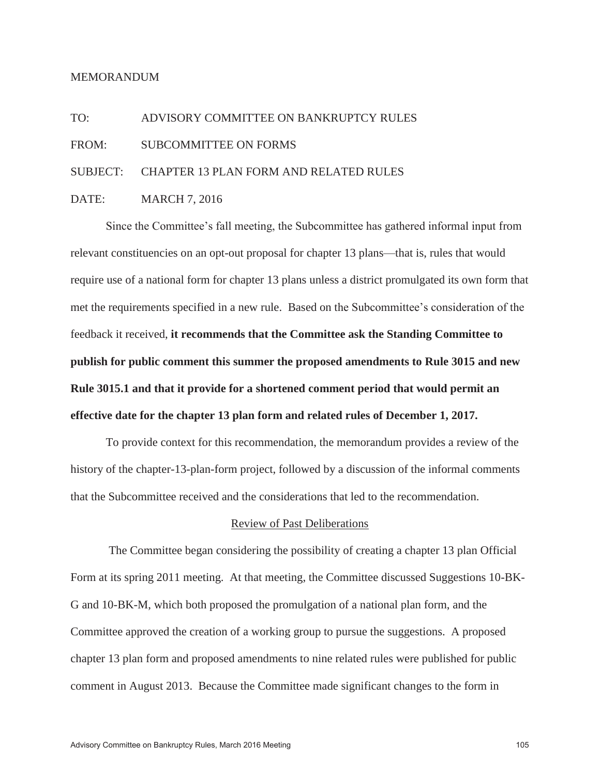#### MEMORANDUM

# TO: ADVISORY COMMITTEE ON BANKRUPTCY RULES FROM: SUBCOMMITTEE ON FORMS SUBJECT: CHAPTER 13 PLAN FORM AND RELATED RULES

### DATE: MARCH 7, 2016

Since the Committee's fall meeting, the Subcommittee has gathered informal input from relevant constituencies on an opt-out proposal for chapter 13 plans—that is, rules that would require use of a national form for chapter 13 plans unless a district promulgated its own form that met the requirements specified in a new rule. Based on the Subcommittee's consideration of the feedback it received, **it recommends that the Committee ask the Standing Committee to publish for public comment this summer the proposed amendments to Rule 3015 and new Rule 3015.1 and that it provide for a shortened comment period that would permit an effective date for the chapter 13 plan form and related rules of December 1, 2017.**

 To provide context for this recommendation, the memorandum provides a review of the history of the chapter-13-plan-form project, followed by a discussion of the informal comments that the Subcommittee received and the considerations that led to the recommendation.

## Review of Past Deliberations

 The Committee began considering the possibility of creating a chapter 13 plan Official Form at its spring 2011 meeting. At that meeting, the Committee discussed Suggestions 10-BK-G and 10-BK-M, which both proposed the promulgation of a national plan form, and the Committee approved the creation of a working group to pursue the suggestions. A proposed chapter 13 plan form and proposed amendments to nine related rules were published for public comment in August 2013. Because the Committee made significant changes to the form in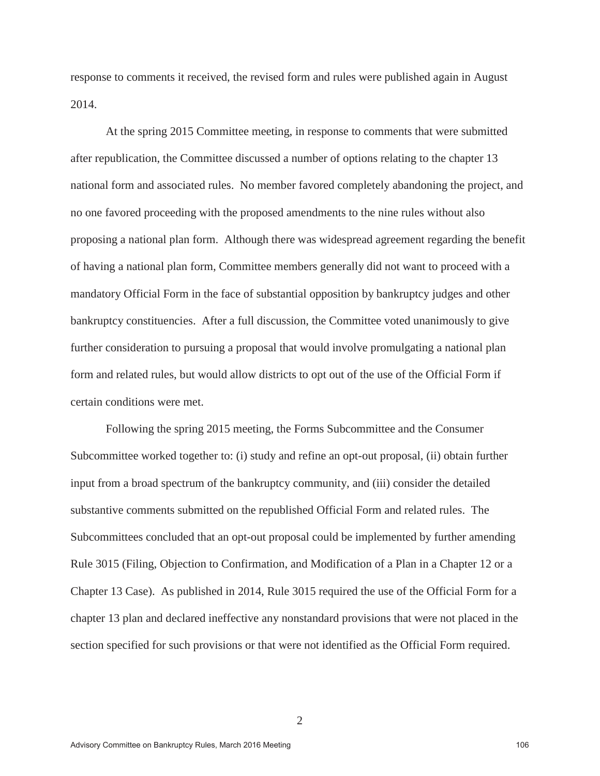response to comments it received, the revised form and rules were published again in August 2014.

 At the spring 2015 Committee meeting, in response to comments that were submitted after republication, the Committee discussed a number of options relating to the chapter 13 national form and associated rules. No member favored completely abandoning the project, and no one favored proceeding with the proposed amendments to the nine rules without also proposing a national plan form. Although there was widespread agreement regarding the benefit of having a national plan form, Committee members generally did not want to proceed with a mandatory Official Form in the face of substantial opposition by bankruptcy judges and other bankruptcy constituencies. After a full discussion, the Committee voted unanimously to give further consideration to pursuing a proposal that would involve promulgating a national plan form and related rules, but would allow districts to opt out of the use of the Official Form if certain conditions were met.

 Following the spring 2015 meeting, the Forms Subcommittee and the Consumer Subcommittee worked together to: (i) study and refine an opt-out proposal, (ii) obtain further input from a broad spectrum of the bankruptcy community, and (iii) consider the detailed substantive comments submitted on the republished Official Form and related rules. The Subcommittees concluded that an opt-out proposal could be implemented by further amending Rule 3015 (Filing, Objection to Confirmation, and Modification of a Plan in a Chapter 12 or a Chapter 13 Case). As published in 2014, Rule 3015 required the use of the Official Form for a chapter 13 plan and declared ineffective any nonstandard provisions that were not placed in the section specified for such provisions or that were not identified as the Official Form required.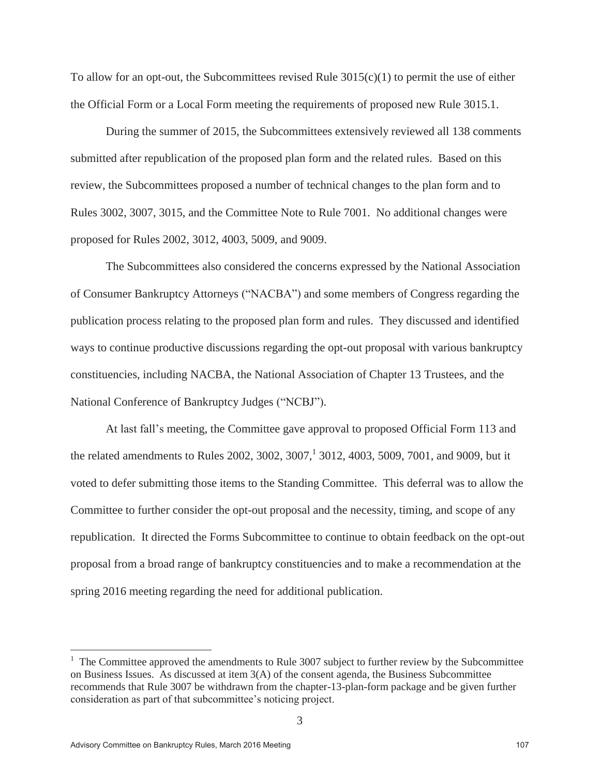To allow for an opt-out, the Subcommittees revised Rule  $3015(c)(1)$  to permit the use of either the Official Form or a Local Form meeting the requirements of proposed new Rule 3015.1.

 During the summer of 2015, the Subcommittees extensively reviewed all 138 comments submitted after republication of the proposed plan form and the related rules. Based on this review, the Subcommittees proposed a number of technical changes to the plan form and to Rules 3002, 3007, 3015, and the Committee Note to Rule 7001. No additional changes were proposed for Rules 2002, 3012, 4003, 5009, and 9009.

 The Subcommittees also considered the concerns expressed by the National Association of Consumer Bankruptcy Attorneys ("NACBA") and some members of Congress regarding the publication process relating to the proposed plan form and rules. They discussed and identified ways to continue productive discussions regarding the opt-out proposal with various bankruptcy constituencies, including NACBA, the National Association of Chapter 13 Trustees, and the National Conference of Bankruptcy Judges ("NCBJ").

At last fall's meeting, the Committee gave approval to proposed Official Form 113 and the related amendments to Rules 2002, 3002, 3007,<sup>1</sup> 3012, 4003, 5009, 7001, and 9009, but it voted to defer submitting those items to the Standing Committee. This deferral was to allow the Committee to further consider the opt-out proposal and the necessity, timing, and scope of any republication. It directed the Forms Subcommittee to continue to obtain feedback on the opt-out proposal from a broad range of bankruptcy constituencies and to make a recommendation at the spring 2016 meeting regarding the need for additional publication.

 $1$  The Committee approved the amendments to Rule 3007 subject to further review by the Subcommittee on Business Issues. As discussed at item 3(A) of the consent agenda, the Business Subcommittee recommends that Rule 3007 be withdrawn from the chapter-13-plan-form package and be given further consideration as part of that subcommittee's noticing project.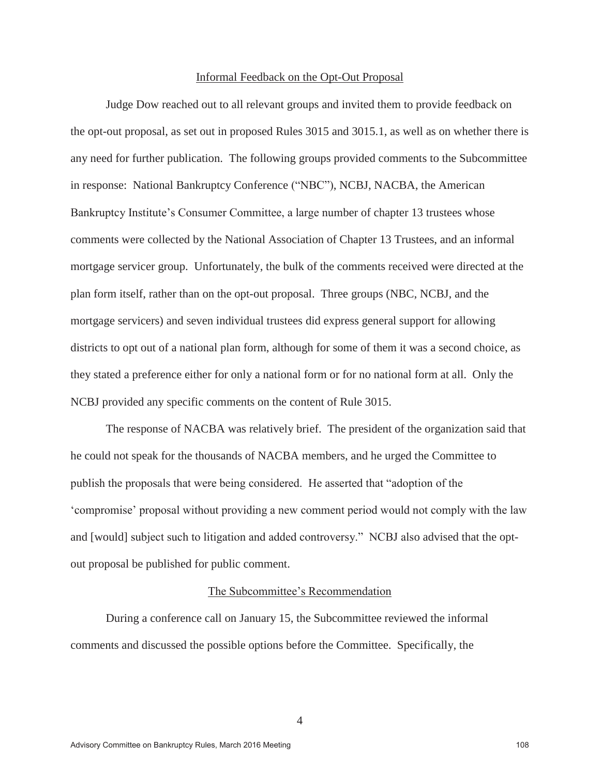#### Informal Feedback on the Opt-Out Proposal

 Judge Dow reached out to all relevant groups and invited them to provide feedback on the opt-out proposal, as set out in proposed Rules 3015 and 3015.1, as well as on whether there is any need for further publication. The following groups provided comments to the Subcommittee in response: National Bankruptcy Conference ("NBC"), NCBJ, NACBA, the American Bankruptcy Institute's Consumer Committee, a large number of chapter 13 trustees whose comments were collected by the National Association of Chapter 13 Trustees, and an informal mortgage servicer group. Unfortunately, the bulk of the comments received were directed at the plan form itself, rather than on the opt-out proposal. Three groups (NBC, NCBJ, and the mortgage servicers) and seven individual trustees did express general support for allowing districts to opt out of a national plan form, although for some of them it was a second choice, as they stated a preference either for only a national form or for no national form at all. Only the NCBJ provided any specific comments on the content of Rule 3015.

 The response of NACBA was relatively brief. The president of the organization said that he could not speak for the thousands of NACBA members, and he urged the Committee to publish the proposals that were being considered. He asserted that "adoption of the 'compromise' proposal without providing a new comment period would not comply with the law and [would] subject such to litigation and added controversy." NCBJ also advised that the optout proposal be published for public comment.

## The Subcommittee's Recommendation

4

 During a conference call on January 15, the Subcommittee reviewed the informal comments and discussed the possible options before the Committee. Specifically, the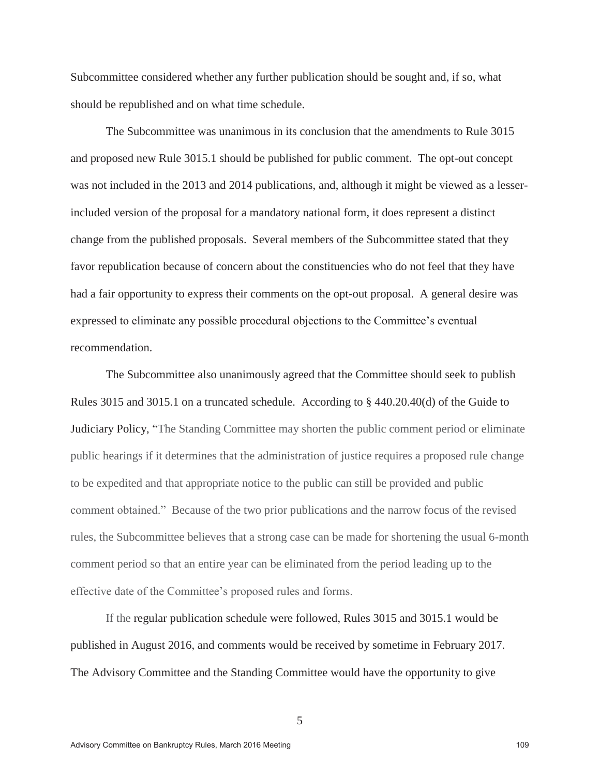Subcommittee considered whether any further publication should be sought and, if so, what should be republished and on what time schedule.

 The Subcommittee was unanimous in its conclusion that the amendments to Rule 3015 and proposed new Rule 3015.1 should be published for public comment. The opt-out concept was not included in the 2013 and 2014 publications, and, although it might be viewed as a lesserincluded version of the proposal for a mandatory national form, it does represent a distinct change from the published proposals. Several members of the Subcommittee stated that they favor republication because of concern about the constituencies who do not feel that they have had a fair opportunity to express their comments on the opt-out proposal. A general desire was expressed to eliminate any possible procedural objections to the Committee's eventual recommendation.

 The Subcommittee also unanimously agreed that the Committee should seek to publish Rules 3015 and 3015.1 on a truncated schedule. According to § 440.20.40(d) of the Guide to Judiciary Policy, "The Standing Committee may shorten the public comment period or eliminate public hearings if it determines that the administration of justice requires a proposed rule change to be expedited and that appropriate notice to the public can still be provided and public comment obtained." Because of the two prior publications and the narrow focus of the revised rules, the Subcommittee believes that a strong case can be made for shortening the usual 6-month comment period so that an entire year can be eliminated from the period leading up to the effective date of the Committee's proposed rules and forms.

 If the regular publication schedule were followed, Rules 3015 and 3015.1 would be published in August 2016, and comments would be received by sometime in February 2017. The Advisory Committee and the Standing Committee would have the opportunity to give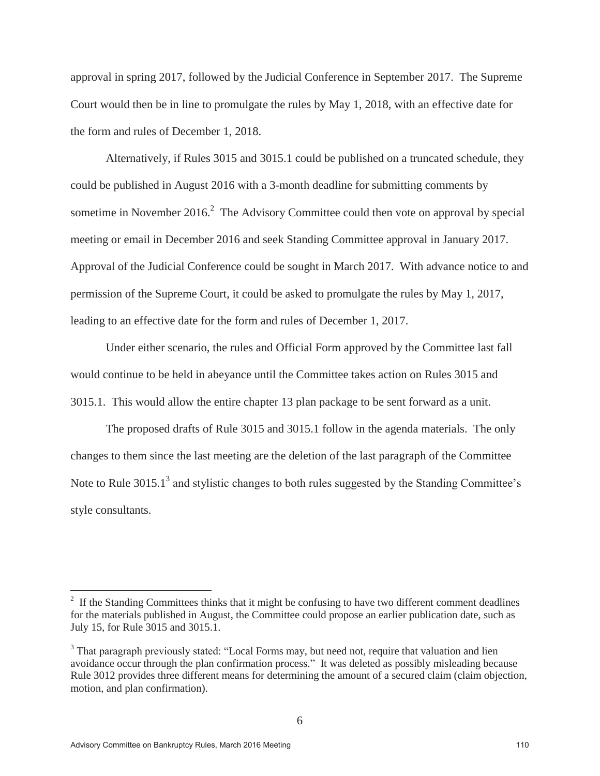approval in spring 2017, followed by the Judicial Conference in September 2017. The Supreme Court would then be in line to promulgate the rules by May 1, 2018, with an effective date for the form and rules of December 1, 2018.

 Alternatively, if Rules 3015 and 3015.1 could be published on a truncated schedule, they could be published in August 2016 with a 3-month deadline for submitting comments by sometime in November 2016.<sup>2</sup> The Advisory Committee could then vote on approval by special meeting or email in December 2016 and seek Standing Committee approval in January 2017. Approval of the Judicial Conference could be sought in March 2017. With advance notice to and permission of the Supreme Court, it could be asked to promulgate the rules by May 1, 2017, leading to an effective date for the form and rules of December 1, 2017.

 Under either scenario, the rules and Official Form approved by the Committee last fall would continue to be held in abeyance until the Committee takes action on Rules 3015 and 3015.1. This would allow the entire chapter 13 plan package to be sent forward as a unit.

 The proposed drafts of Rule 3015 and 3015.1 follow in the agenda materials. The only changes to them since the last meeting are the deletion of the last paragraph of the Committee Note to Rule  $3015.1^3$  and stylistic changes to both rules suggested by the Standing Committee's style consultants.

 $2\,$  If the Standing Committees thinks that it might be confusing to have two different comment deadlines for the materials published in August, the Committee could propose an earlier publication date, such as July 15, for Rule 3015 and 3015.1.

<sup>&</sup>lt;sup>3</sup> That paragraph previously stated: "Local Forms may, but need not, require that valuation and lien avoidance occur through the plan confirmation process." It was deleted as possibly misleading because Rule 3012 provides three different means for determining the amount of a secured claim (claim objection, motion, and plan confirmation).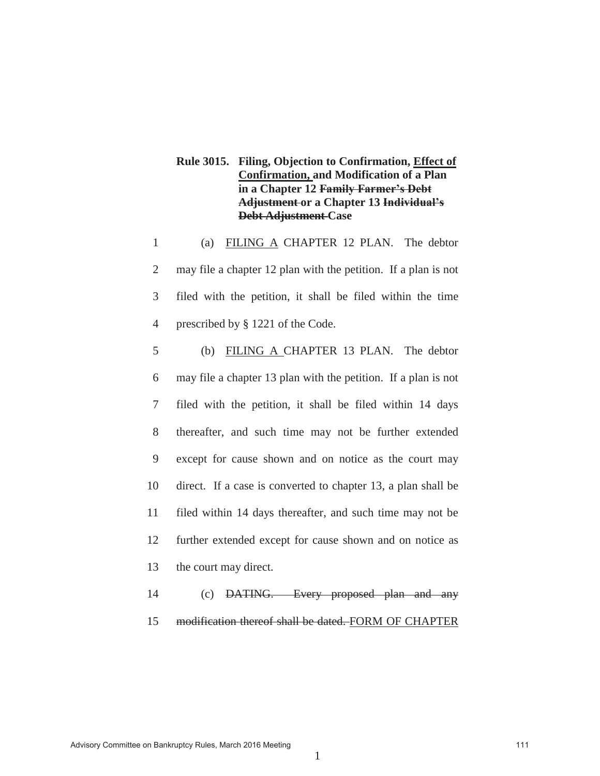# **Rule 3015. Filing, Objection to Confirmation, Effect of Confirmation, and Modification of a Plan in a Chapter 12 Family Farmer's Debt Adjustment or a Chapter 13 Individual's Debt Adjustment Case**

1 (a) FILING A CHAPTER 12 PLAN. The debtor may file a chapter 12 plan with the petition. If a plan is not filed with the petition, it shall be filed within the time prescribed by § 1221 of the Code.

5 (b) FILING A CHAPTER 13 PLAN. The debtor may file a chapter 13 plan with the petition. If a plan is not filed with the petition, it shall be filed within 14 days thereafter, and such time may not be further extended except for cause shown and on notice as the court may direct. If a case is converted to chapter 13, a plan shall be filed within 14 days thereafter, and such time may not be further extended except for cause shown and on notice as the court may direct.

14 (c) DATING. Every proposed plan and any 15 modification thereof shall be dated. FORM OF CHAPTER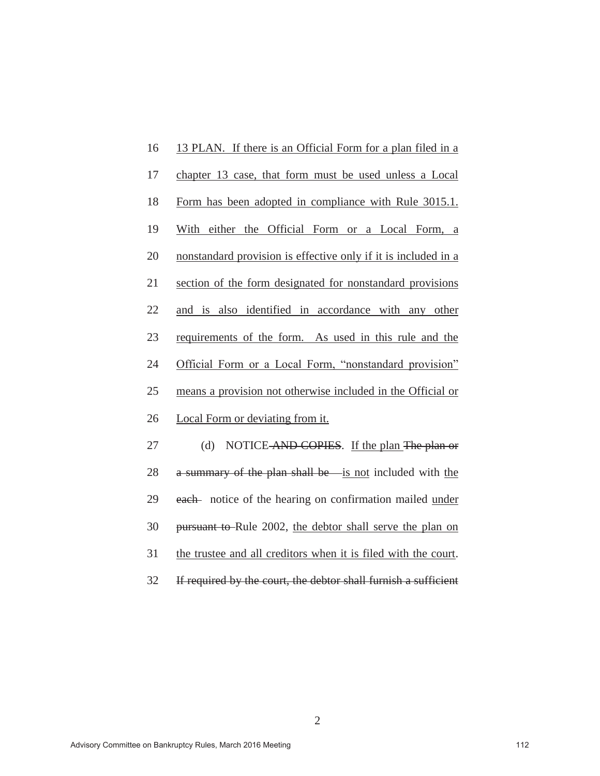| 16 | 13 PLAN. If there is an Official Form for a plan filed in a    |
|----|----------------------------------------------------------------|
| 17 | chapter 13 case, that form must be used unless a Local         |
| 18 | Form has been adopted in compliance with Rule 3015.1.          |
| 19 | With either the Official Form or a Local Form, a               |
| 20 | nonstandard provision is effective only if it is included in a |
| 21 | section of the form designated for nonstandard provisions      |
| 22 | and is also identified in accordance with any other            |
| 23 | requirements of the form. As used in this rule and the         |
| 24 | Official Form or a Local Form, "nonstandard provision"         |
| 25 | means a provision not otherwise included in the Official or    |
| 26 | Local Form or deviating from it.                               |
| 27 | NOTICE AND COPIES. If the plan The plan or<br>(d)              |
| 28 | a summary of the plan shall be is not included with the        |
| 29 | each- notice of the hearing on confirmation mailed under       |
| 30 | pursuant to-Rule 2002, the debtor shall serve the plan on      |
| 31 | the trustee and all creditors when it is filed with the court. |

If required by the court, the debtor shall furnish a sufficient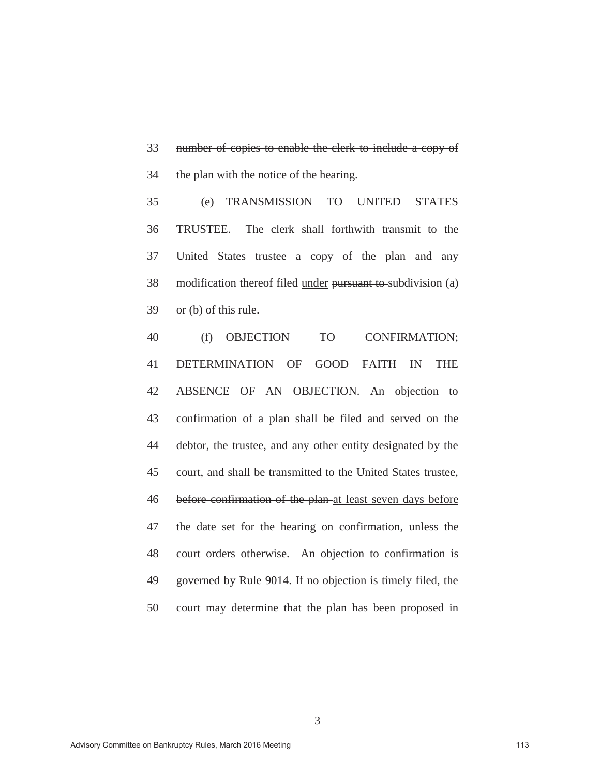number of copies to enable the clerk to include a copy of the plan with the notice of the hearing.

35 (e) TRANSMISSION TO UNITED STATES TRUSTEE. The clerk shall forthwith transmit to the United States trustee a copy of the plan and any modification thereof filed under pursuant to subdivision (a) or (b) of this rule.

 (f) OBJECTION TO CONFIRMATION; DETERMINATION OF GOOD FAITH IN THE ABSENCE OF AN OBJECTION. An objection to confirmation of a plan shall be filed and served on the debtor, the trustee, and any other entity designated by the court, and shall be transmitted to the United States trustee, before confirmation of the plan at least seven days before the date set for the hearing on confirmation, unless the court orders otherwise. An objection to confirmation is governed by Rule 9014. If no objection is timely filed, the court may determine that the plan has been proposed in

Advisory Committee on Bankruptcy Rules, March 2016 Meeting 1998 1999 113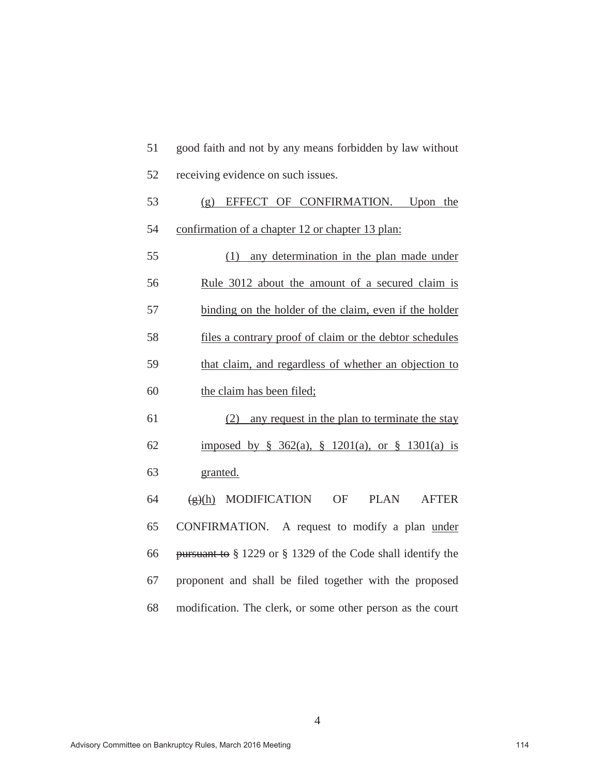| 51 | good faith and not by any means forbidden by law without                  |
|----|---------------------------------------------------------------------------|
| 52 | receiving evidence on such issues.                                        |
| 53 | (g) EFFECT OF CONFIRMATION. Upon the                                      |
| 54 | confirmation of a chapter 12 or chapter 13 plan:                          |
| 55 | $(1)$ any determination in the plan made under                            |
| 56 | Rule 3012 about the amount of a secured claim is                          |
| 57 | binding on the holder of the claim, even if the holder                    |
| 58 | files a contrary proof of claim or the debtor schedules                   |
| 59 | that claim, and regardless of whether an objection to                     |
| 60 | the claim has been filed;                                                 |
| 61 | $(2)$ any request in the plan to terminate the stay                       |
| 62 | imposed by § 362(a), § 1201(a), or § 1301(a) is                           |
| 63 | granted.                                                                  |
| 64 | $\left(\frac{1}{2}\right)$ (h) MODIFICATION<br>OF<br>PLAN<br><b>AFTER</b> |
| 65 | CONFIRMATION. A request to modify a plan under                            |
| 66 | pursuant to $\S 1229$ or $\S 1329$ of the Code shall identify the         |
| 67 | proponent and shall be filed together with the proposed                   |
| 68 | modification. The clerk, or some other person as the court                |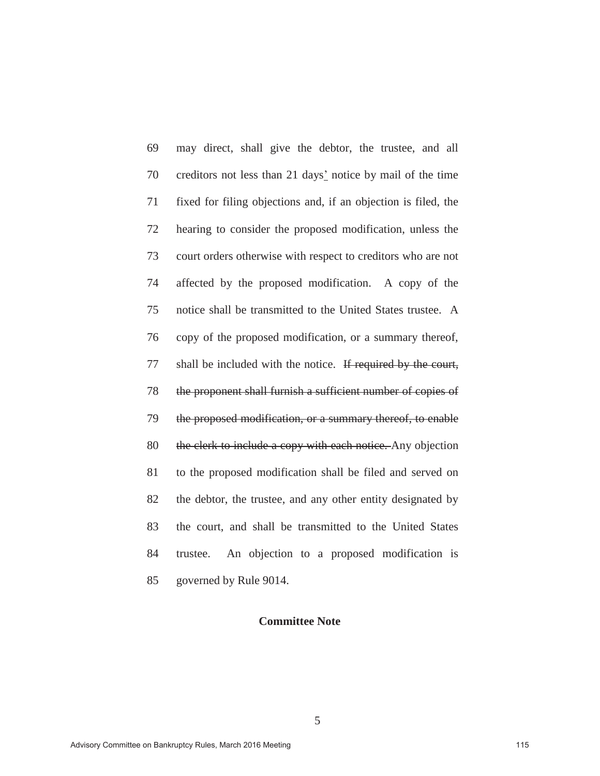| 69 | may direct, shall give the debtor, the trustee, and all        |
|----|----------------------------------------------------------------|
| 70 | creditors not less than 21 days' notice by mail of the time    |
| 71 | fixed for filing objections and, if an objection is filed, the |
| 72 | hearing to consider the proposed modification, unless the      |
| 73 | court orders otherwise with respect to creditors who are not   |
| 74 | affected by the proposed modification. A copy of the           |
| 75 | notice shall be transmitted to the United States trustee. A    |
| 76 | copy of the proposed modification, or a summary thereof,       |
| 77 | shall be included with the notice. If required by the court,   |
| 78 | the proponent shall furnish a sufficient number of copies of   |
| 79 | the proposed modification, or a summary thereof, to enable     |
| 80 | the clerk to include a copy with each notice. Any objection    |
| 81 | to the proposed modification shall be filed and served on      |
| 82 | the debtor, the trustee, and any other entity designated by    |
| 83 | the court, and shall be transmitted to the United States       |
| 84 | An objection to a proposed modification is<br>trustee.         |
| 85 | governed by Rule 9014.                                         |

# **Committee Note**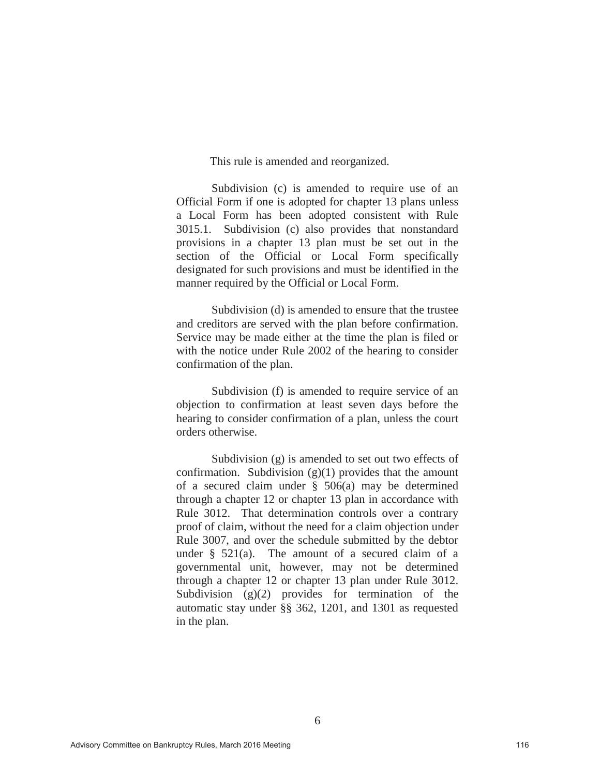This rule is amended and reorganized.

Subdivision (c) is amended to require use of an Official Form if one is adopted for chapter 13 plans unless a Local Form has been adopted consistent with Rule 3015.1. Subdivision (c) also provides that nonstandard provisions in a chapter 13 plan must be set out in the section of the Official or Local Form specifically designated for such provisions and must be identified in the manner required by the Official or Local Form.

Subdivision (d) is amended to ensure that the trustee and creditors are served with the plan before confirmation. Service may be made either at the time the plan is filed or with the notice under Rule 2002 of the hearing to consider confirmation of the plan.

Subdivision (f) is amended to require service of an objection to confirmation at least seven days before the hearing to consider confirmation of a plan, unless the court orders otherwise.

Subdivision (g) is amended to set out two effects of confirmation. Subdivision  $(g)(1)$  provides that the amount of a secured claim under § 506(a) may be determined through a chapter 12 or chapter 13 plan in accordance with Rule 3012. That determination controls over a contrary proof of claim, without the need for a claim objection under Rule 3007, and over the schedule submitted by the debtor under  $\S$  521(a). The amount of a secured claim of a governmental unit, however, may not be determined through a chapter 12 or chapter 13 plan under Rule 3012. Subdivision  $(g)(2)$  provides for termination of the automatic stay under §§ 362, 1201, and 1301 as requested in the plan.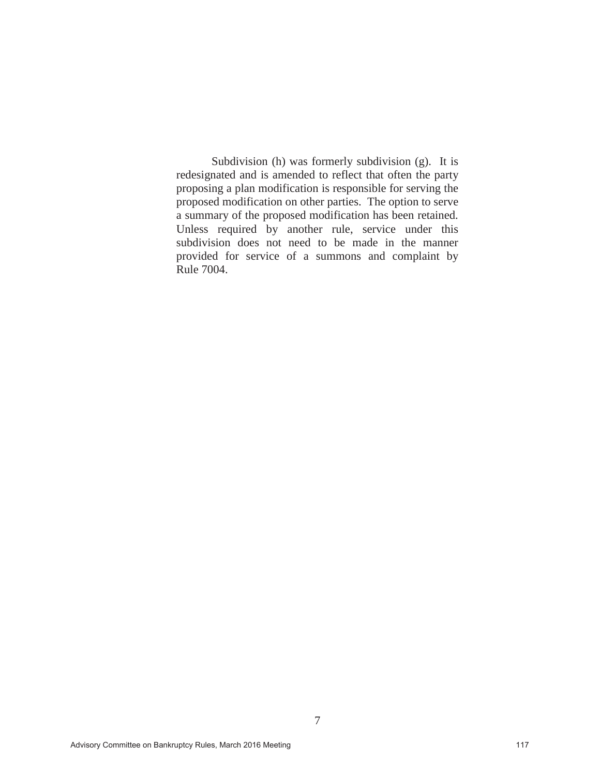Subdivision (h) was formerly subdivision (g). It is redesignated and is amended to reflect that often the party proposing a plan modification is responsible for serving the proposed modification on other parties. The option to serve a summary of the proposed modification has been retained. Unless required by another rule, service under this subdivision does not need to be made in the manner provided for service of a summons and complaint by Rule 7004.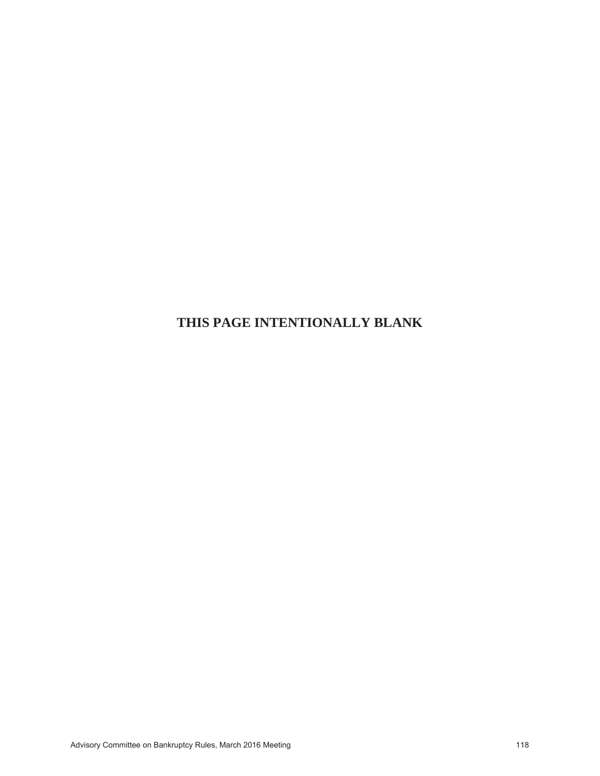**THIS PAGE INTENTIONALLY BLANK**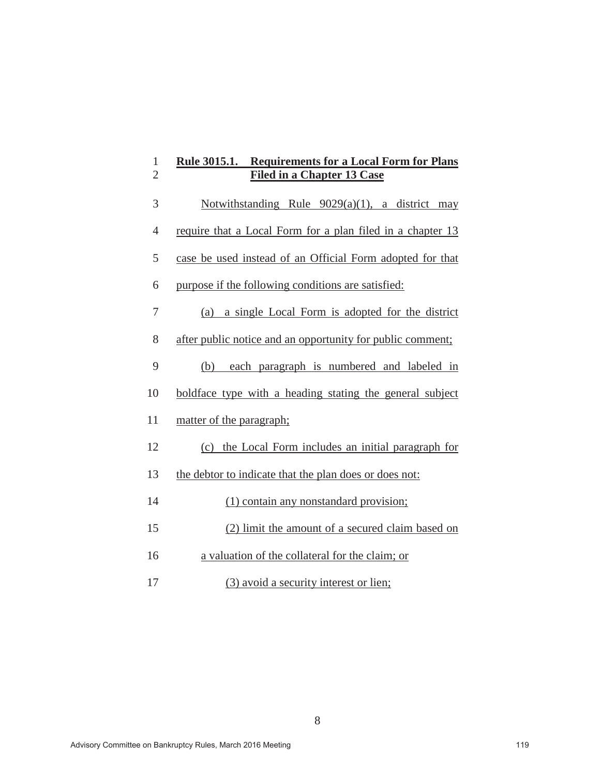# 1 **Rule 3015.1. Requirements for a Local Form for Plans**  2 **Filed in a Chapter 13 Case**

| Notwithstanding Rule $9029(a)(1)$ , a district may         |
|------------------------------------------------------------|
| require that a Local Form for a plan filed in a chapter 13 |
| case be used instead of an Official Form adopted for that  |
| purpose if the following conditions are satisfied:         |
| (a) a single Local Form is adopted for the district        |
| after public notice and an opportunity for public comment; |
| (b) each paragraph is numbered and labeled in              |
| boldface type with a heading stating the general subject   |
| matter of the paragraph;                                   |
| (c) the Local Form includes an initial paragraph for       |
| the debtor to indicate that the plan does or does not:     |
| (1) contain any nonstandard provision;                     |
| (2) limit the amount of a secured claim based on           |
| a valuation of the collateral for the claim; or            |
|                                                            |

17 (3) avoid a security interest or lien;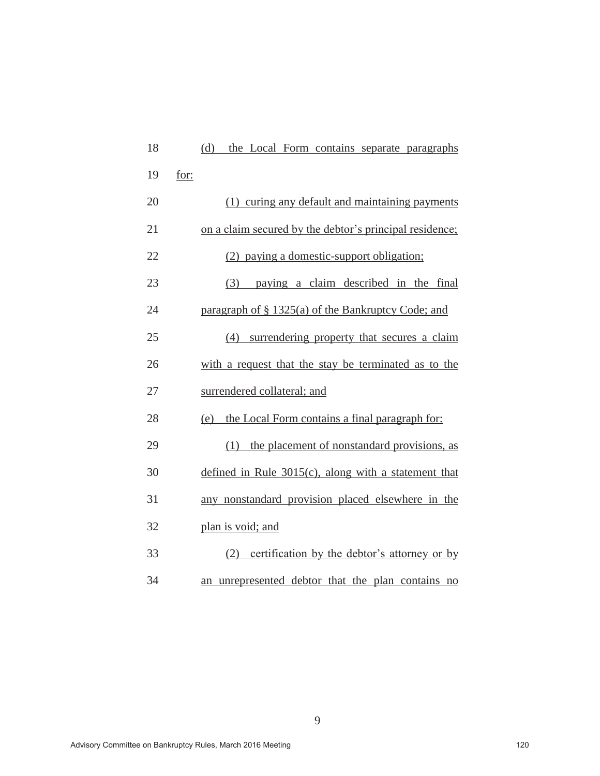| 18 | (d)<br>the Local Form contains separate paragraphs      |
|----|---------------------------------------------------------|
| 19 | for:                                                    |
| 20 | (1) curing any default and maintaining payments         |
| 21 | on a claim secured by the debtor's principal residence; |
| 22 | (2) paying a domestic-support obligation;               |
| 23 | (3) paying a claim described in the final               |
| 24 | paragraph of § 1325(a) of the Bankruptcy Code; and      |
| 25 | (4) surrendering property that secures a claim          |
| 26 | with a request that the stay be terminated as to the    |
| 27 | surrendered collateral; and                             |
| 28 | the Local Form contains a final paragraph for:<br>(e)   |
| 29 | (1) the placement of nonstandard provisions, as         |
| 30 | defined in Rule $3015(c)$ , along with a statement that |
| 31 | any nonstandard provision placed elsewhere in the       |
| 32 | plan is void; and                                       |
| 33 | certification by the debtor's attorney or by<br>(2)     |
| 34 | unrepresented debtor that the plan contains no<br>an    |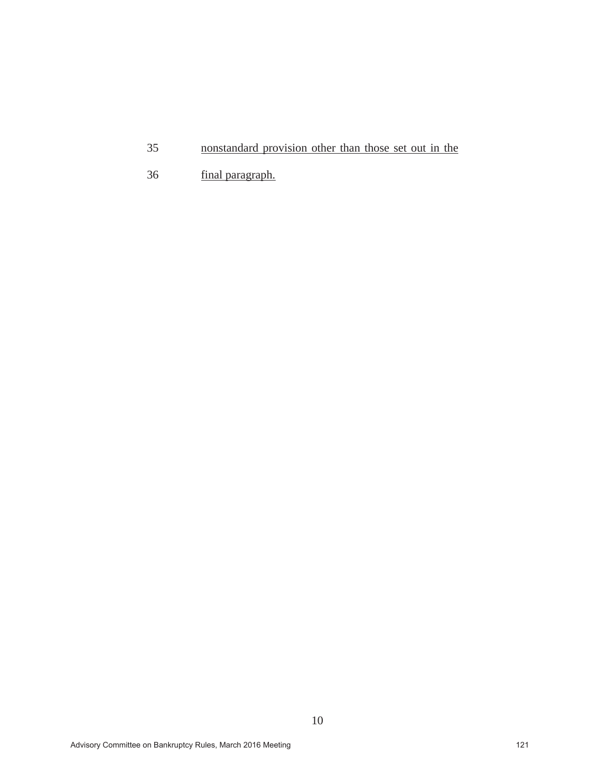# nonstandard provision other than those set out in the

final paragraph.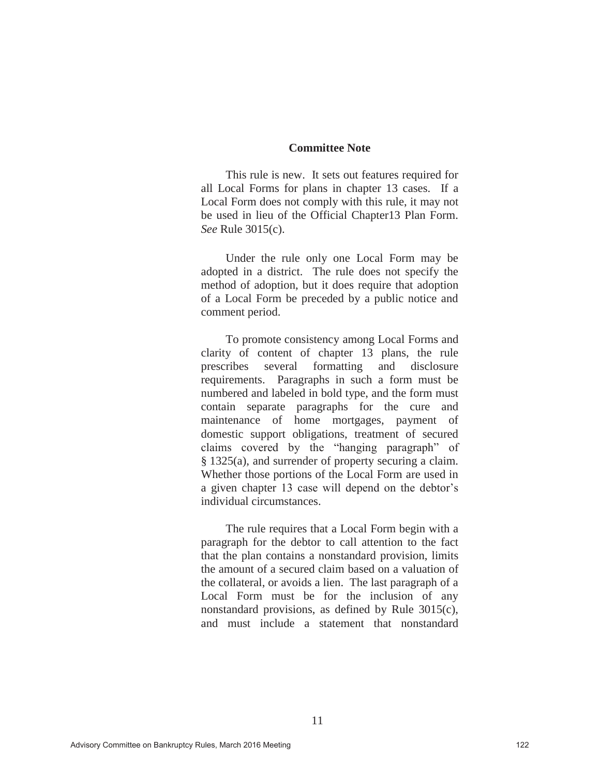#### **Committee Note**

 This rule is new. It sets out features required for all Local Forms for plans in chapter 13 cases. If a Local Form does not comply with this rule, it may not be used in lieu of the Official Chapter13 Plan Form. *See* Rule 3015(c).

 Under the rule only one Local Form may be adopted in a district. The rule does not specify the method of adoption, but it does require that adoption of a Local Form be preceded by a public notice and comment period.

 To promote consistency among Local Forms and clarity of content of chapter 13 plans, the rule prescribes several formatting and disclosure requirements. Paragraphs in such a form must be numbered and labeled in bold type, and the form must contain separate paragraphs for the cure and maintenance of home mortgages, payment of domestic support obligations, treatment of secured claims covered by the "hanging paragraph" of § 1325(a), and surrender of property securing a claim. Whether those portions of the Local Form are used in a given chapter 13 case will depend on the debtor's individual circumstances.

 The rule requires that a Local Form begin with a paragraph for the debtor to call attention to the fact that the plan contains a nonstandard provision, limits the amount of a secured claim based on a valuation of the collateral, or avoids a lien. The last paragraph of a Local Form must be for the inclusion of any nonstandard provisions, as defined by Rule 3015(c), and must include a statement that nonstandard